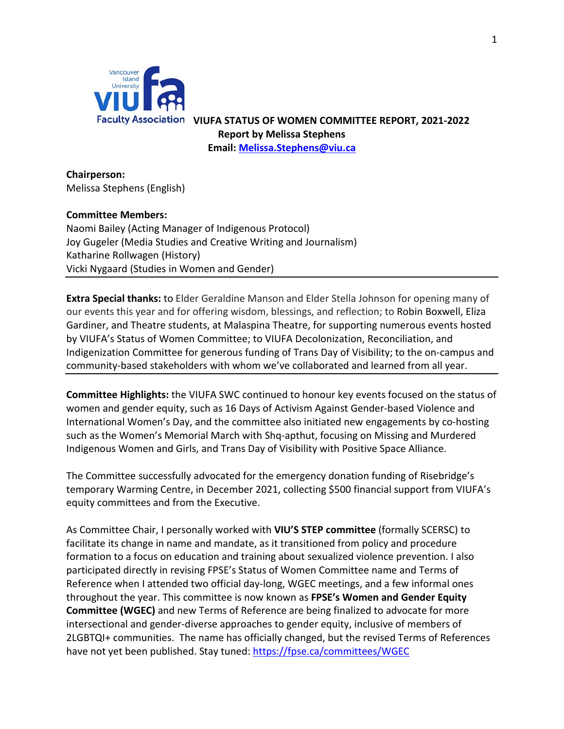

Faculty Association VIUFA STATUS OF WOMEN COMMITTEE REPORT, 2021-2022 **Report by Melissa Stephens Email: [Melissa.Stephens@viu.ca](mailto:Melissa.Stephens@viu.ca)**

**Chairperson:** Melissa Stephens (English)

## **Committee Members:**

Naomi Bailey (Acting Manager of Indigenous Protocol) Joy Gugeler (Media Studies and Creative Writing and Journalism) Katharine Rollwagen (History) Vicki Nygaard (Studies in Women and Gender)

**Extra Special thanks:** to Elder Geraldine Manson and Elder Stella Johnson for opening many of our events this year and for offering wisdom, blessings, and reflection; to Robin Boxwell, Eliza Gardiner, and Theatre students, at Malaspina Theatre, for supporting numerous events hosted by VIUFA's Status of Women Committee; to VIUFA Decolonization, Reconciliation, and Indigenization Committee for generous funding of Trans Day of Visibility; to the on-campus and community-based stakeholders with whom we've collaborated and learned from all year.

**Committee Highlights:** the VIUFA SWC continued to honour key events focused on the status of women and gender equity, such as 16 Days of Activism Against Gender-based Violence and International Women's Day, and the committee also initiated new engagements by co-hosting such as the Women's Memorial March with Shq-apthut, focusing on Missing and Murdered Indigenous Women and Girls, and Trans Day of Visibility with Positive Space Alliance.

The Committee successfully advocated for the emergency donation funding of Risebridge's temporary Warming Centre, in December 2021, collecting \$500 financial support from VIUFA's equity committees and from the Executive.

As Committee Chair, I personally worked with **VIU'S STEP committee** (formally SCERSC) to facilitate its change in name and mandate, as it transitioned from policy and procedure formation to a focus on education and training about sexualized violence prevention. I also participated directly in revising FPSE's Status of Women Committee name and Terms of Reference when I attended two official day-long, WGEC meetings, and a few informal ones throughout the year. This committee is now known as **FPSE's Women and Gender Equity Committee (WGEC)** and new Terms of Reference are being finalized to advocate for more intersectional and gender-diverse approaches to gender equity, inclusive of members of 2LGBTQI+ communities. The name has officially changed, but the revised Terms of References have not yet been published. Stay tuned[: https://fpse.ca/committees/WGEC](https://fpse.ca/committees/WGEC)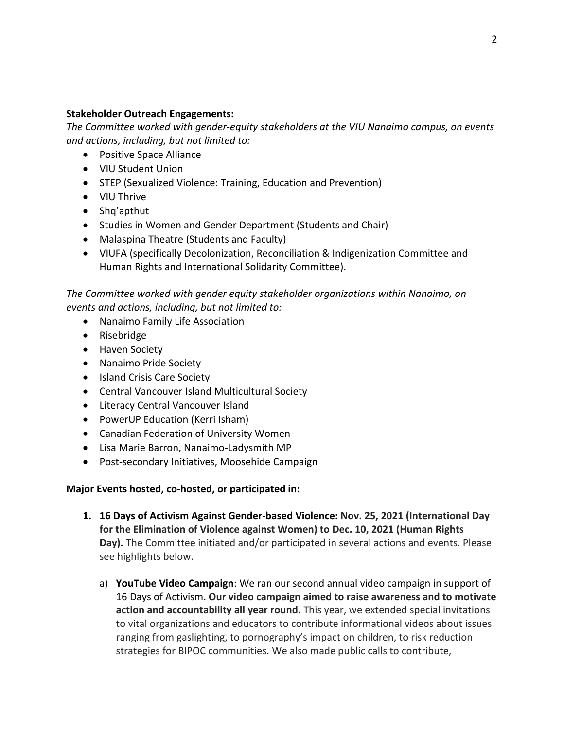### **Stakeholder Outreach Engagements:**

*The Committee worked with gender-equity stakeholders at the VIU Nanaimo campus, on events and actions, including, but not limited to:*

- Positive Space Alliance
- VIU Student Union
- STEP (Sexualized Violence: Training, Education and Prevention)
- VIU Thrive
- Shq'apthut
- Studies in Women and Gender Department (Students and Chair)
- Malaspina Theatre (Students and Faculty)
- VIUFA (specifically Decolonization, Reconciliation & Indigenization Committee and Human Rights and International Solidarity Committee).

*The Committee worked with gender equity stakeholder organizations within Nanaimo, on events and actions, including, but not limited to:*

- Nanaimo Family Life Association
- Risebridge
- Haven Society
- Nanaimo Pride Society
- Island Crisis Care Society
- Central Vancouver Island Multicultural Society
- Literacy Central Vancouver Island
- PowerUP Education (Kerri Isham)
- Canadian Federation of University Women
- Lisa Marie Barron, Nanaimo-Ladysmith MP
- Post-secondary Initiatives, Moosehide Campaign

# **Major Events hosted, co-hosted, or participated in:**

- **1. 16 Days of Activism Against Gender-based Violence: Nov. 25, 2021 (International Day for the Elimination of Violence against Women) to Dec. 10, 2021 (Human Rights Day).** The Committee initiated and/or participated in several actions and events. Please see highlights below.
	- a) **YouTube Video Campaign**: We ran our second annual video campaign in support of 16 Days of Activism. **Our video campaign aimed to raise awareness and to motivate action and accountability all year round.** This year, we extended special invitations to vital organizations and educators to contribute informational videos about issues ranging from gaslighting, to pornography's impact on children, to risk reduction strategies for BIPOC communities. We also made public calls to contribute,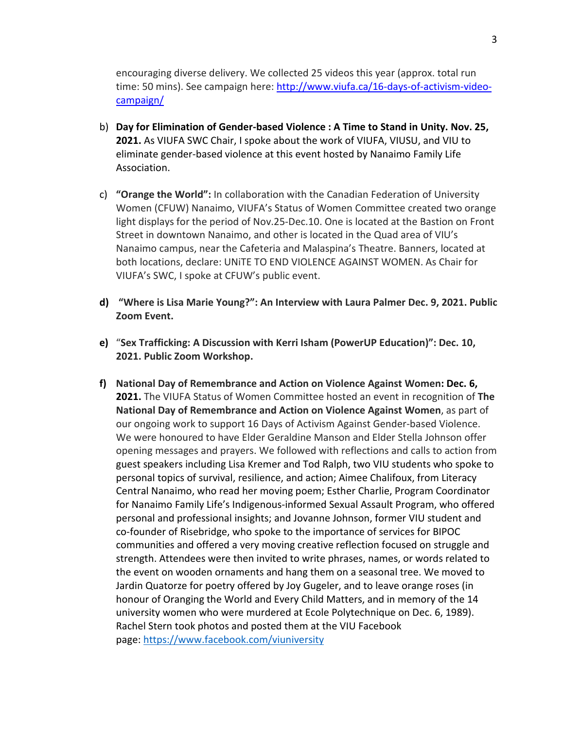encouraging diverse delivery. We collected 25 videos this year (approx. total run time: 50 mins). See campaign here: [http://www.viufa.ca/16-days-of-activism-video](http://www.viufa.ca/16-days-of-activism-video-campaign/)[campaign/](http://www.viufa.ca/16-days-of-activism-video-campaign/)

- b) **Day for Elimination of Gender-based Violence : A Time to Stand in Unity. Nov. 25, 2021.** As VIUFA SWC Chair, I spoke about the work of VIUFA, VIUSU, and VIU to eliminate gender-based violence at this event hosted by Nanaimo Family Life Association.
- c) **"Orange the World":** In collaboration with the Canadian Federation of University Women (CFUW) Nanaimo, VIUFA's Status of Women Committee created two orange light displays for the period of Nov.25-Dec.10. One is located at the Bastion on Front Street in downtown Nanaimo, and other is located in the Quad area of VIU's Nanaimo campus, near the Cafeteria and Malaspina's Theatre. Banners, located at both locations, declare: UNiTE TO END VIOLENCE AGAINST WOMEN. As Chair for VIUFA's SWC, I spoke at CFUW's public event.
- **d) "Where is Lisa Marie Young?": An Interview with Laura Palmer Dec. 9, 2021. Public Zoom Event.**
- **e)** "**Sex Trafficking: A Discussion with Kerri Isham (PowerUP Education)": Dec. 10, 2021. Public Zoom Workshop.**
- **f) National Day of Remembrance and Action on Violence Against Women: Dec. 6, 2021.** The VIUFA Status of Women Committee hosted an event in recognition of **The National Day of Remembrance and Action on Violence Against Women**, as part of our ongoing work to support 16 Days of Activism Against Gender-based Violence. We were honoured to have Elder Geraldine Manson and Elder Stella Johnson offer opening messages and prayers. We followed with reflections and calls to action from guest speakers including Lisa Kremer and Tod Ralph, two VIU students who spoke to personal topics of survival, resilience, and action; Aimee Chalifoux, from Literacy Central Nanaimo, who read her moving poem; Esther Charlie, Program Coordinator for Nanaimo Family Life's Indigenous-informed Sexual Assault Program, who offered personal and professional insights; and Jovanne Johnson, former VIU student and co-founder of Risebridge, who spoke to the importance of services for BIPOC communities and offered a very moving creative reflection focused on struggle and strength. Attendees were then invited to write phrases, names, or words related to the event on wooden ornaments and hang them on a seasonal tree. We moved to Jardin Quatorze for poetry offered by Joy Gugeler, and to leave orange roses (in honour of Oranging the World and Every Child Matters, and in memory of the 14 university women who were murdered at Ecole Polytechnique on Dec. 6, 1989). Rachel Stern took photos and posted them at the VIU Facebook page: [https://www.facebook.com/viuniversity](https://mail.viu.ca/owa/redir.aspx?REF=AHsqKV4OSS9HSpmuTex4YhSoQ-xiGRP6hd0vcpBJnUsArMq5gCTaCAFodHRwczovL3d3dy5mYWNlYm9vay5jb20vdml1bml2ZXJzaXR5)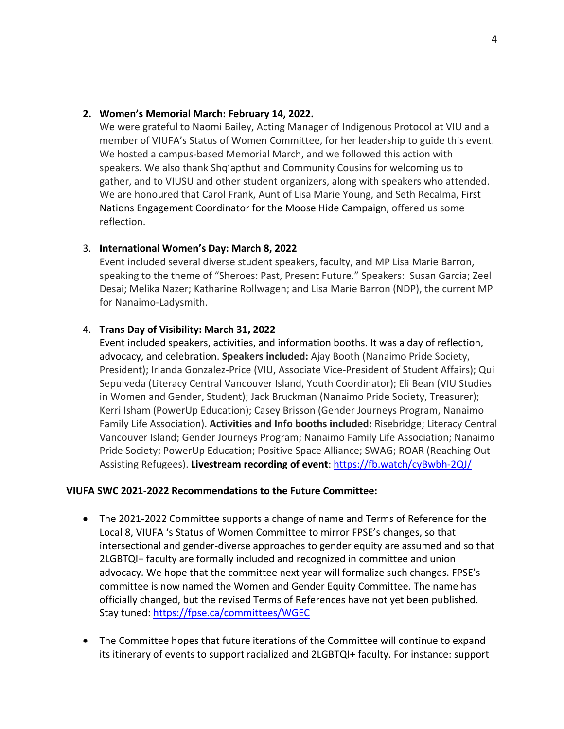#### **2. Women's Memorial March: February 14, 2022.**

We were grateful to Naomi Bailey, Acting Manager of Indigenous Protocol at VIU and a member of VIUFA's Status of Women Committee, for her leadership to guide this event. We hosted a campus-based Memorial March, and we followed this action with speakers. We also thank Shq'apthut and Community Cousins for welcoming us to gather, and to VIUSU and other student organizers, along with speakers who attended. We are honoured that Carol Frank, Aunt of Lisa Marie Young, and Seth Recalma, First Nations Engagement Coordinator for the Moose Hide Campaign, offered us some reflection.

### 3. **International Women's Day: March 8, 2022**

Event included several diverse student speakers, faculty, and MP Lisa Marie Barron, speaking to the theme of "Sheroes: Past, Present Future." Speakers: Susan Garcia; Zeel Desai; Melika Nazer; Katharine Rollwagen; and Lisa Marie Barron (NDP), the current MP for Nanaimo-Ladysmith.

### 4. **Trans Day of Visibility: March 31, 2022**

Event included speakers, activities, and information booths. It was a day of reflection, advocacy, and celebration. **Speakers included:** Ajay Booth (Nanaimo Pride Society, President); Irlanda Gonzalez-Price (VIU, Associate Vice-President of Student Affairs); Qui Sepulveda (Literacy Central Vancouver Island, Youth Coordinator); Eli Bean (VIU Studies in Women and Gender, Student); Jack Bruckman (Nanaimo Pride Society, Treasurer); Kerri Isham (PowerUp Education); Casey Brisson (Gender Journeys Program, Nanaimo Family Life Association). **Activities and Info booths included:** Risebridge; Literacy Central Vancouver Island; Gender Journeys Program; Nanaimo Family Life Association; Nanaimo Pride Society; PowerUp Education; Positive Space Alliance; SWAG; ROAR (Reaching Out Assisting Refugees). **Livestream recording of event**:<https://fb.watch/cyBwbh-2QJ/>

#### **VIUFA SWC 2021-2022 Recommendations to the Future Committee:**

- The 2021-2022 Committee supports a change of name and Terms of Reference for the Local 8, VIUFA 's Status of Women Committee to mirror FPSE's changes, so that intersectional and gender-diverse approaches to gender equity are assumed and so that 2LGBTQI+ faculty are formally included and recognized in committee and union advocacy. We hope that the committee next year will formalize such changes. FPSE's committee is now named the Women and Gender Equity Committee. The name has officially changed, but the revised Terms of References have not yet been published. Stay tuned:<https://fpse.ca/committees/WGEC>
- The Committee hopes that future iterations of the Committee will continue to expand its itinerary of events to support racialized and 2LGBTQI+ faculty. For instance: support